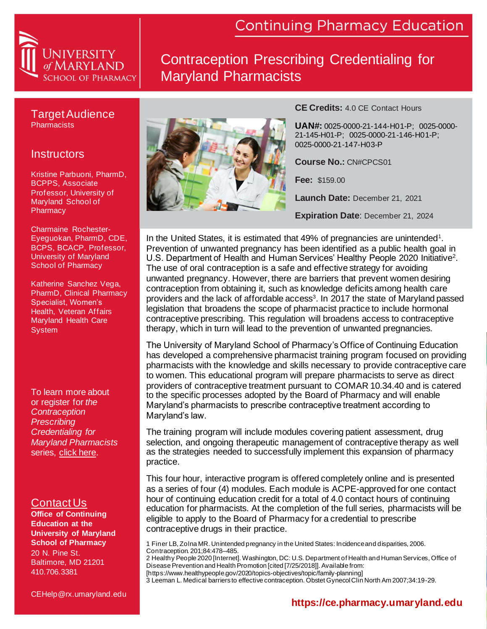

### Contraception Prescribing Credentialing for Maryland Pharmacists

#### Target Audience **Pharmacists**

### **Instructors**

Kristine Parbuoni, PharmD, BCPPS, Associate Professor, University of Maryland School of **Pharmacy** 

Charmaine Rochester-Eyeguokan, PharmD, CDE, BCPS, BCACP, Professor, University of Maryland School of Pharmacy

Katherine Sanchez Vega, PharmD, Clinical Pharmacy Specialist, Women's Health, Veteran Affairs Maryland Health Care System

To learn more about or register for *the Contraception Prescribing Credentialing for Maryland Pharmacists*  series, [click here.](http://ce.pharmacy.umaryland.edu/products/Contraception-Prescribing-Credentialing-for-Maryland-Pharmacists.aspx)

### Contact Us

**Office of Continuing Education at the University of Maryland School of Pharmacy** 20 N. Pine St. Baltimore, MD 21201 410.706.3381

CEHelp@rx.umaryland.edu



**CE Credits:** 4.0 CE Contact Hours

**UAN#:** 0025-0000-21-144-H01-P; 0025-0000- 21-145-H01-P; 0025-0000-21-146-H01-P; 0025-0000-21-147-H03-P

**Course No.:** CN#CPCS01

**Fee:** \$159.00

**Launch Date:** December 21, 2021

**Expiration Date**: December 21, 2024

In the United States, it is estimated that 49% of pregnancies are unintended<sup>1</sup>. Prevention of unwanted pregnancy has been identified as a public health goal in U.S. Department of Health and Human Services' Healthy People 2020 Initiative<sup>2</sup>. The use of oral contraception is a safe and effective strategy for avoiding unwanted pregnancy. However, there are barriers that prevent women desiring contraception from obtaining it, such as knowledge deficits among health care providers and the lack of affordable access<sup>3</sup>. In 2017 the state of Maryland passed legislation that broadens the scope of pharmacist practice to include hormonal contraceptive prescribing. This regulation will broadens access to contraceptive therapy, which in turn will lead to the prevention of unwanted pregnancies.

The University of Maryland School of Pharmacy's Office of Continuing Education has developed a comprehensive pharmacist training program focused on providing pharmacists with the knowledge and skills necessary to provide contraceptive care to women. This educational program will prepare pharmacists to serve as direct providers of contraceptive treatment pursuant to COMAR 10.34.40 and is catered to the specific processes adopted by the Board of Pharmacy and will enable Maryland's pharmacists to prescribe contraceptive treatment according to Maryland's law.

The training program will include modules covering patient assessment, drug selection, and ongoing therapeutic management of contraceptive therapy as well as the strategies needed to successfully implement this expansion of pharmacy practice.

This four hour, interactive program is offered completely online and is presented as a series of four (4) modules. Each module is ACPE-approved for one contact hour of continuing education credit for a total of 4.0 contact hours of continuing education for pharmacists. At the completion of the full series, pharmacists will be eligible to apply to the Board of Pharmacy for a credential to prescribe contraceptive drugs in their practice.

1 Finer LB, Zolna MR. Unintended pregnancy in the United States: Incidence and disparities, 2006. Contraception. 201;84:478–485.

2 Healthy People 2020 [Internet]. Washington, DC: U.S. Department of Health and Human Services, Office of Disease Prevention and Health Promotion [cited [7/25/2018]]. Available from: [https://www.healthypeople.gov/2020/topics-objectives/topic/family-planning]

<sup>3</sup> Leeman L. Medical barriers to effective contraception. Obstet Gynecol Clin North Am 2007;34:19-29.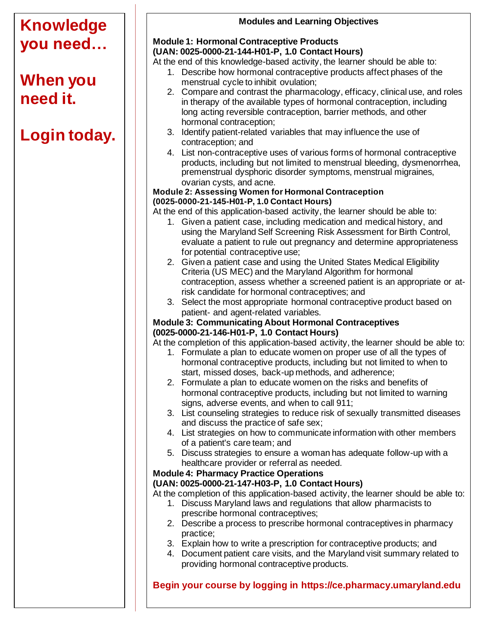#### **Knowledge you need… When you need it. Login today. Modules and Learning Objectives Module 1: Hormonal Contraceptive Products (UAN: 0025-0000-21-144-H01-P, 1.0 Contact Hours)** At the end of this knowledge-based activity, the learner should be able to: 1. Describe how hormonal contraceptive products affect phases of the menstrual cycle to inhibit ovulation; 2. Compare and contrast the pharmacology, efficacy, clinical use, and roles in therapy of the available types of hormonal contraception, including long acting reversible contraception, barrier methods, and other hormonal contraception; 3. Identify patient-related variables that may influence the use of contraception; and 4. List non-contraceptive uses of various forms of hormonal contraceptive products, including but not limited to menstrual bleeding, dysmenorrhea, premenstrual dysphoric disorder symptoms, menstrual migraines, ovarian cysts, and acne. **Module 2: Assessing Women for Hormonal Contraception (0025-0000-21-145-H01-P, 1.0 Contact Hours)** At the end of this application-based activity, the learner should be able to: 1. Given a patient case, including medication and medical history, and using the Maryland Self Screening Risk Assessment for Birth Control, evaluate a patient to rule out pregnancy and determine appropriateness for potential contraceptive use; 2. Given a patient case and using the United States Medical Eligibility Criteria (US MEC) and the Maryland Algorithm for hormonal contraception, assess whether a screened patient is an appropriate or atrisk candidate for hormonal contraceptives; and 3. Select the most appropriate hormonal contraceptive product based on patient- and agent-related variables. **Module 3: Communicating About Hormonal Contraceptives (0025-0000-21-146-H01-P, 1.0 Contact Hours)** At the completion of this application-based activity, the learner should be able to: 1. Formulate a plan to educate women on proper use of all the types of hormonal contraceptive products, including but not limited to when to start, missed doses, back-up methods, and adherence; 2. Formulate a plan to educate women on the risks and benefits of hormonal contraceptive products, including but not limited to warning signs, adverse events, and when to call 911; 3. List counseling strategies to reduce risk of sexually transmitted diseases and discuss the practice of safe sex; 4. List strategies on how to communicate information with other members of a patient's care team; and 5. Discuss strategies to ensure a woman has adequate follow-up with a healthcare provider or referral as needed. **Module 4: Pharmacy Practice Operations (UAN: 0025-0000-21-147-H03-P, 1.0 Contact Hours)** At the completion of this application-based activity, the learner should be able to: 1. Discuss Maryland laws and regulations that allow pharmacists to prescribe hormonal contraceptives; 2. Describe a process to prescribe hormonal contraceptives in pharmacy practice; 3. Explain how to write a prescription for contraceptive products; and 4. Document patient care visits, and the Maryland visit summary related to providing hormonal contraceptive products. **Begin your course by logging in https://ce.pharmacy.umaryland.edu**